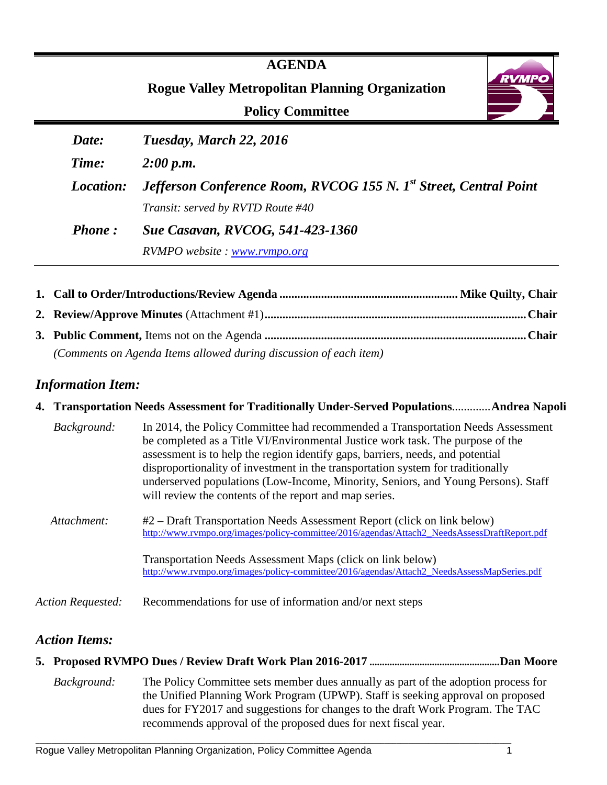|                                                                                                   | <b>AGENDA</b><br><b>RVMPC</b><br><b>Rogue Valley Metropolitan Planning Organization</b><br><b>Policy Committee</b> |  |  |
|---------------------------------------------------------------------------------------------------|--------------------------------------------------------------------------------------------------------------------|--|--|
| Date:                                                                                             | Tuesday, March 22, 2016                                                                                            |  |  |
| Time:                                                                                             | 2:00 p.m.                                                                                                          |  |  |
| Jefferson Conference Room, RVCOG 155 N. 1 <sup>st</sup> Street, Central Point<br><i>Location:</i> |                                                                                                                    |  |  |
|                                                                                                   | Transit: served by RVTD Route #40                                                                                  |  |  |
| <b>Phone:</b>                                                                                     | <b>Sue Casavan, RVCOG, 541-423-1360</b>                                                                            |  |  |
|                                                                                                   | RVMPO website: www.rvmpo.org                                                                                       |  |  |

| (Comments on Agenda Items allowed during discussion of each item) |  |
|-------------------------------------------------------------------|--|

# *Information Item:*

|             |                   | 4. Transportation Needs Assessment for Traditionally Under-Served PopulationsAndrea Napoli                                                                                                                                                                                                                                                                                                                                                                                            |
|-------------|-------------------|---------------------------------------------------------------------------------------------------------------------------------------------------------------------------------------------------------------------------------------------------------------------------------------------------------------------------------------------------------------------------------------------------------------------------------------------------------------------------------------|
| Background: |                   | In 2014, the Policy Committee had recommended a Transportation Needs Assessment<br>be completed as a Title VI/Environmental Justice work task. The purpose of the<br>assessment is to help the region identify gaps, barriers, needs, and potential<br>disproportionality of investment in the transportation system for traditionally<br>underserved populations (Low-Income, Minority, Seniors, and Young Persons). Staff<br>will review the contents of the report and map series. |
|             | Attachment:       | #2 – Draft Transportation Needs Assessment Report (click on link below)<br>http://www.rvmpo.org/images/policy-committee/2016/agendas/Attach2_NeedsAssessDraftReport.pdf                                                                                                                                                                                                                                                                                                               |
|             |                   | Transportation Needs Assessment Maps (click on link below)<br>http://www.rvmpo.org/images/policy-committee/2016/agendas/Attach2_NeedsAssessMapSeries.pdf                                                                                                                                                                                                                                                                                                                              |
|             | Action Requested: | Recommendations for use of information and/or next steps                                                                                                                                                                                                                                                                                                                                                                                                                              |

# *Action Items:*

|  |  | 5. Proposed RVMPO Dues / Review Draft Work Plan 2016-2017 …………………………………………………Dan Moore       |  |
|--|--|----------------------------------------------------------------------------------------------|--|
|  |  | Duckeyear J. The Delige Committee acts months also annually as nonted the adoption nuces for |  |

*Background:* The Policy Committee sets member dues annually as part of the adoption process for the Unified Planning Work Program (UPWP). Staff is seeking approval on proposed dues for FY2017 and suggestions for changes to the draft Work Program. The TAC recommends approval of the proposed dues for next fiscal year.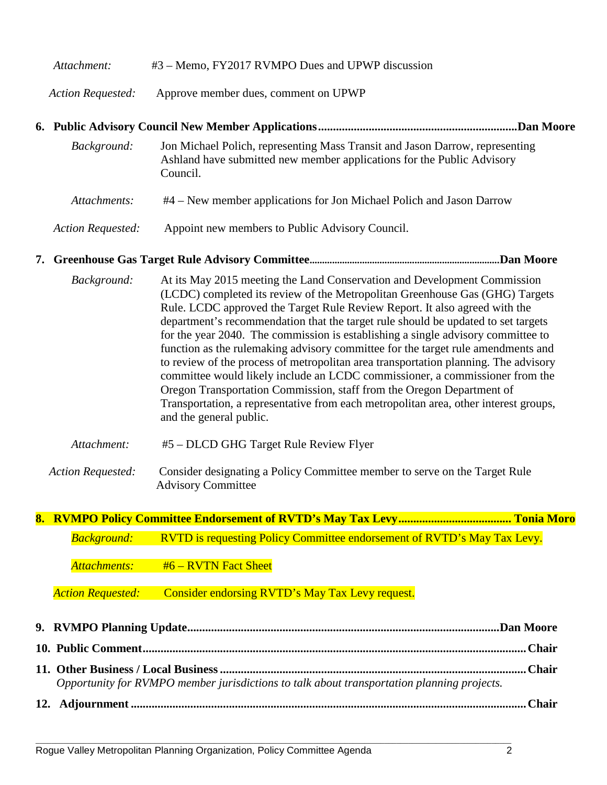#### *Attachment:* #3 – Memo, FY2017 RVMPO Dues and UPWP discussion

*Action Requested:* Approve member dues, comment on UPWP

#### **6. Public Advisory Council New Member Applications...................................................................Dan Moore**

| <i>Background:</i> | Jon Michael Polich, representing Mass Transit and Jason Darrow, representing<br>Ashland have submitted new member applications for the Public Advisory<br>Council. |  |  |
|--------------------|--------------------------------------------------------------------------------------------------------------------------------------------------------------------|--|--|
| Attachments:       | #4 – New member applications for Jon Michael Polich and Jason Darrow                                                                                               |  |  |

*Action Requested:* Appoint new members to Public Advisory Council.

#### **7. Greenhouse Gas Target Rule Advisory Committee............................................................................Dan Moore**

| Background: | At its May 2015 meeting the Land Conservation and Development Commission<br>(LCDC) completed its review of the Metropolitan Greenhouse Gas (GHG) Targets<br>Rule. LCDC approved the Target Rule Review Report. It also agreed with the<br>department's recommendation that the target rule should be updated to set targets<br>for the year 2040. The commission is establishing a single advisory committee to<br>function as the rulemaking advisory committee for the target rule amendments and<br>to review of the process of metropolitan area transportation planning. The advisory<br>committee would likely include an LCDC commissioner, a commissioner from the<br>Oregon Transportation Commission, staff from the Oregon Department of<br>Transportation, a representative from each metropolitan area, other interest groups, |
|-------------|---------------------------------------------------------------------------------------------------------------------------------------------------------------------------------------------------------------------------------------------------------------------------------------------------------------------------------------------------------------------------------------------------------------------------------------------------------------------------------------------------------------------------------------------------------------------------------------------------------------------------------------------------------------------------------------------------------------------------------------------------------------------------------------------------------------------------------------------|
|             | and the general public.                                                                                                                                                                                                                                                                                                                                                                                                                                                                                                                                                                                                                                                                                                                                                                                                                     |

- *Attachment:* #5 DLCD GHG Target Rule Review Flyer
- *Action Requested:* Consider designating a Policy Committee member to serve on the Target Rule Advisory Committee

# **8. RVMPO Policy Committee Endorsement of RVTD's May Tax Levy...................................... Tonia Moro**

*Background:* RVTD is requesting Policy Committee endorsement of RVTD's May Tax Levy.

*Attachments:* #6 – RVTN Fact Sheet

*Action Requested:* Consider endorsing RVTD's May Tax Levy request.

| Opportunity for RVMPO member jurisdictions to talk about transportation planning projects. |  |
|--------------------------------------------------------------------------------------------|--|
|                                                                                            |  |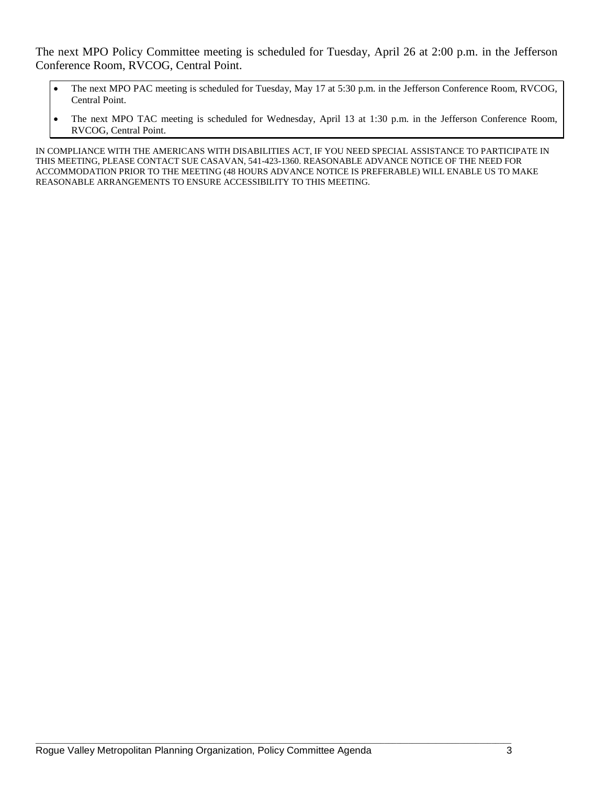The next MPO Policy Committee meeting is scheduled for Tuesday, April 26 at 2:00 p.m. in the Jefferson Conference Room, RVCOG, Central Point.

- The next MPO PAC meeting is scheduled for Tuesday, May 17 at 5:30 p.m. in the Jefferson Conference Room, RVCOG, Central Point.
- The next MPO TAC meeting is scheduled for Wednesday, April 13 at 1:30 p.m. in the Jefferson Conference Room, RVCOG, Central Point.

IN COMPLIANCE WITH THE AMERICANS WITH DISABILITIES ACT, IF YOU NEED SPECIAL ASSISTANCE TO PARTICIPATE IN THIS MEETING, PLEASE CONTACT SUE CASAVAN, 541-423-1360. REASONABLE ADVANCE NOTICE OF THE NEED FOR ACCOMMODATION PRIOR TO THE MEETING (48 HOURS ADVANCE NOTICE IS PREFERABLE) WILL ENABLE US TO MAKE REASONABLE ARRANGEMENTS TO ENSURE ACCESSIBILITY TO THIS MEETING.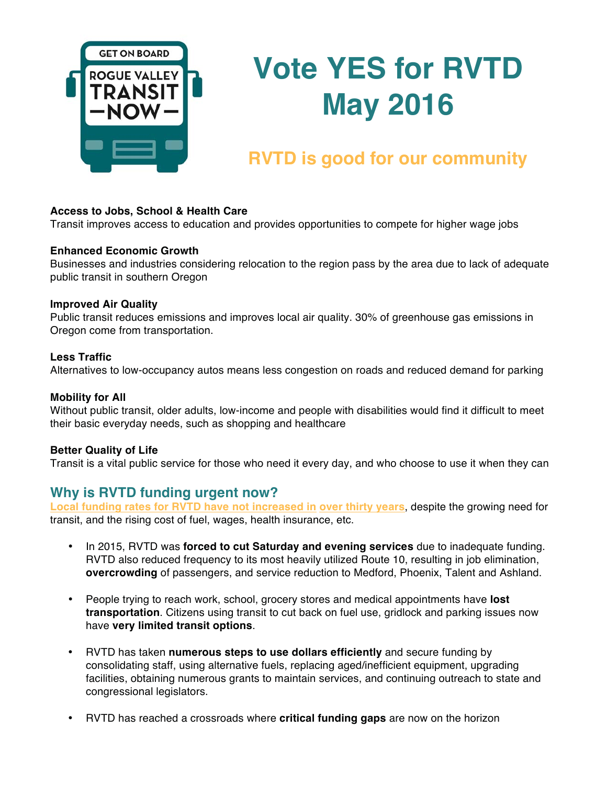

# **Vote YES for RVTD May 2016**

# **RVTD is good for our community**

#### **Access to Jobs, School & Health Care**

Transit improves access to education and provides opportunities to compete for higher wage jobs

#### **Enhanced Economic Growth**

Businesses and industries considering relocation to the region pass by the area due to lack of adequate public transit in southern Oregon

#### **Improved Air Quality**

Public transit reduces emissions and improves local air quality. 30% of greenhouse gas emissions in Oregon come from transportation.

#### **Less Traffic**

Alternatives to low-occupancy autos means less congestion on roads and reduced demand for parking

#### **Mobility for All**

Without public transit, older adults, low-income and people with disabilities would find it difficult to meet their basic everyday needs, such as shopping and healthcare

#### **Better Quality of Life**

Transit is a vital public service for those who need it every day, and who choose to use it when they can

# **Why is RVTD funding urgent now?**

**Local funding rates for RVTD have not increased in over thirty years**, despite the growing need for transit, and the rising cost of fuel, wages, health insurance, etc.

- In 2015, RVTD was **forced to cut Saturday and evening services** due to inadequate funding. RVTD also reduced frequency to its most heavily utilized Route 10, resulting in job elimination, **overcrowding** of passengers, and service reduction to Medford, Phoenix, Talent and Ashland.
- People trying to reach work, school, grocery stores and medical appointments have **lost transportation**. Citizens using transit to cut back on fuel use, gridlock and parking issues now have **very limited transit options**.
- RVTD has taken **numerous steps to use dollars efficiently** and secure funding by consolidating staff, using alternative fuels, replacing aged/inefficient equipment, upgrading facilities, obtaining numerous grants to maintain services, and continuing outreach to state and congressional legislators.
- RVTD has reached a crossroads where **critical funding gaps** are now on the horizon